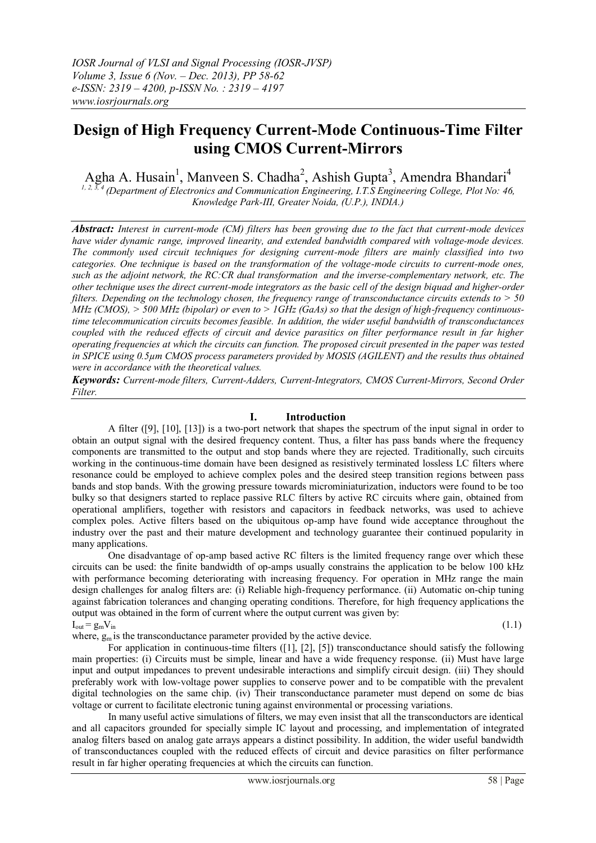# **Design of High Frequency Current-Mode Continuous-Time Filter using CMOS Current-Mirrors**

Agha A. Husain<sup>1</sup>, Manveen S. Chadha<sup>2</sup>, Ashish Gupta<sup>3</sup>, Amendra Bhandari<sup>4</sup>

*1, 2, 3, 4 (Department of Electronics and Communication Engineering, I.T.S Engineering College, Plot No: 46, Knowledge Park-III, Greater Noida, (U.P.), INDIA.)* 

*Abstract: Interest in current-mode (CM) filters has been growing due to the fact that current-mode devices have wider dynamic range, improved linearity, and extended bandwidth compared with voltage-mode devices. The commonly used circuit techniques for designing current-mode filters are mainly classified into two categories. One technique is based on the transformation of the voltage-mode circuits to current-mode ones, such as the adjoint network, the RC:CR dual transformation and the inverse-complementary network, etc. The other technique uses the direct current-mode integrators as the basic cell of the design biquad and higher-order filters. Depending on the technology chosen, the frequency range of transconductance circuits extends to > 50 MHz (CMOS), > 500 MHz (bipolar) or even to > 1GHz (GaAs) so that the design of high-frequency continuoustime telecommunication circuits becomes feasible. In addition, the wider useful bandwidth of transconductances coupled with the reduced effects of circuit and device parasitics on filter performance result in far higher operating frequencies at which the circuits can function. The proposed circuit presented in the paper was tested in SPICE using 0.5µm CMOS process parameters provided by MOSIS (AGILENT) and the results thus obtained were in accordance with the theoretical values.* 

*Keywords: Current-mode filters, Current-Adders, Current-Integrators, CMOS Current-Mirrors, Second Order Filter.*

## **I. Introduction**

A filter ([9], [10], [13]) is a two-port network that shapes the spectrum of the input signal in order to obtain an output signal with the desired frequency content. Thus, a filter has pass bands where the frequency components are transmitted to the output and stop bands where they are rejected. Traditionally, such circuits working in the continuous-time domain have been designed as resistively terminated lossless LC filters where resonance could be employed to achieve complex poles and the desired steep transition regions between pass bands and stop bands. With the growing pressure towards microminiaturization, inductors were found to be too bulky so that designers started to replace passive RLC filters by active RC circuits where gain, obtained from operational amplifiers, together with resistors and capacitors in feedback networks, was used to achieve complex poles. Active filters based on the ubiquitous op-amp have found wide acceptance throughout the industry over the past and their mature development and technology guarantee their continued popularity in many applications.

One disadvantage of op-amp based active RC filters is the limited frequency range over which these circuits can be used: the finite bandwidth of op-amps usually constrains the application to be below 100 kHz with performance becoming deteriorating with increasing frequency. For operation in MHz range the main design challenges for analog filters are: (i) Reliable high-frequency performance. (ii) Automatic on-chip tuning against fabrication tolerances and changing operating conditions. Therefore, for high frequency applications the output was obtained in the form of current where the output current was given by:  $I_{\text{out}} = g_{\text{m}} V_{\text{in}}$  (1.1)

where,  $g_m$  is the transconductance parameter provided by the active device.

For application in continuous-time filters ([1], [2], [5]) transconductance should satisfy the following main properties: (i) Circuits must be simple, linear and have a wide frequency response. (ii) Must have large input and output impedances to prevent undesirable interactions and simplify circuit design. (iii) They should preferably work with low-voltage power supplies to conserve power and to be compatible with the prevalent digital technologies on the same chip. (iv) Their transconductance parameter must depend on some dc bias

voltage or current to facilitate electronic tuning against environmental or processing variations. In many useful active simulations of filters, we may even insist that all the transconductors are identical and all capacitors grounded for specially simple IC layout and processing, and implementation of integrated analog filters based on analog gate arrays appears a distinct possibility. In addition, the wider useful bandwidth of transconductances coupled with the reduced effects of circuit and device parasitics on filter performance result in far higher operating frequencies at which the circuits can function.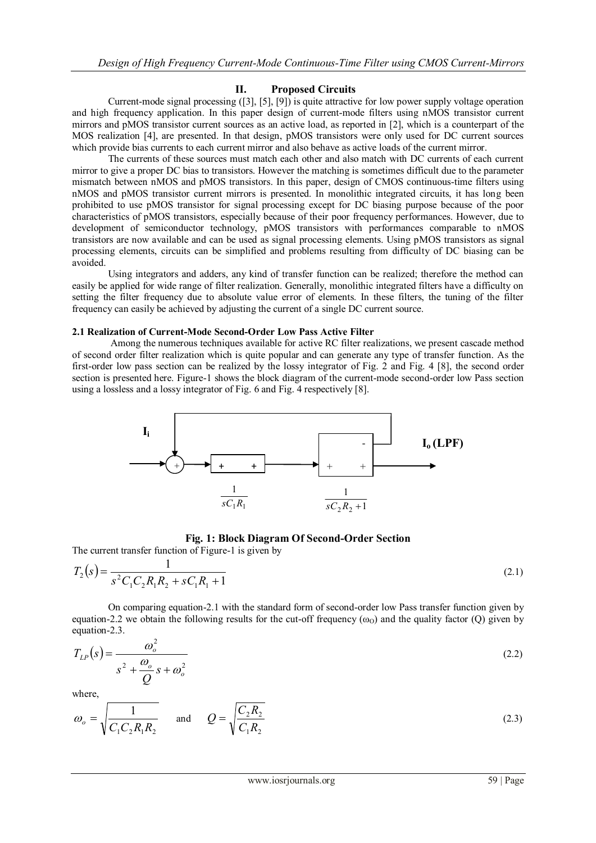## **II. Proposed Circuits**

Current-mode signal processing ([3], [5], [9]) is quite attractive for low power supply voltage operation and high frequency application. In this paper design of current-mode filters using nMOS transistor current mirrors and pMOS transistor current sources as an active load, as reported in [2], which is a counterpart of the MOS realization [4], are presented. In that design, pMOS transistors were only used for DC current sources which provide bias currents to each current mirror and also behave as active loads of the current mirror.

The currents of these sources must match each other and also match with DC currents of each current mirror to give a proper DC bias to transistors. However the matching is sometimes difficult due to the parameter mismatch between nMOS and pMOS transistors. In this paper, design of CMOS continuous-time filters using nMOS and pMOS transistor current mirrors is presented. In monolithic integrated circuits, it has long been prohibited to use pMOS transistor for signal processing except for DC biasing purpose because of the poor characteristics of pMOS transistors, especially because of their poor frequency performances. However, due to development of semiconductor technology, pMOS transistors with performances comparable to nMOS transistors are now available and can be used as signal processing elements. Using pMOS transistors as signal processing elements, circuits can be simplified and problems resulting from difficulty of DC biasing can be avoided.

Using integrators and adders, any kind of transfer function can be realized; therefore the method can easily be applied for wide range of filter realization. Generally, monolithic integrated filters have a difficulty on setting the filter frequency due to absolute value error of elements. In these filters, the tuning of the filter frequency can easily be achieved by adjusting the current of a single DC current source.

#### **2.1 Realization of Current-Mode Second-Order Low Pass Active Filter**

Among the numerous techniques available for active RC filter realizations, we present cascade method of second order filter realization which is quite popular and can generate any type of transfer function. As the first-order low pass section can be realized by the lossy integrator of Fig. 2 and Fig. 4 [8], the second order section is presented here. Figure-1 shows the block diagram of the current-mode second-order low Pass section using a lossless and a lossy integrator of Fig. 6 and Fig. 4 respectively [8].



#### **Fig. 1: Block Diagram Of Second-Order Section**

The current transfer function of Figure-1 is given by

$$
T_2(s) = \frac{1}{s^2 C_1 C_2 R_1 R_2 + s C_1 R_1 + 1}
$$
\n(2.1)

On comparing equation-2.1 with the standard form of second-order low Pass transfer function given by equation-2.2 we obtain the following results for the cut-off frequency  $(\omega_0)$  and the quality factor (Q) given by equation-2.3.

$$
T_{LP}(s) = \frac{\omega_o^2}{s^2 + \frac{\omega_o}{Q}s + \omega_o^2}
$$
\n
$$
(2.2)
$$

where,

$$
\omega_o = \sqrt{\frac{1}{C_1 C_2 R_1 R_2}}
$$
 and  $Q = \sqrt{\frac{C_2 R_2}{C_1 R_2}}$  (2.3)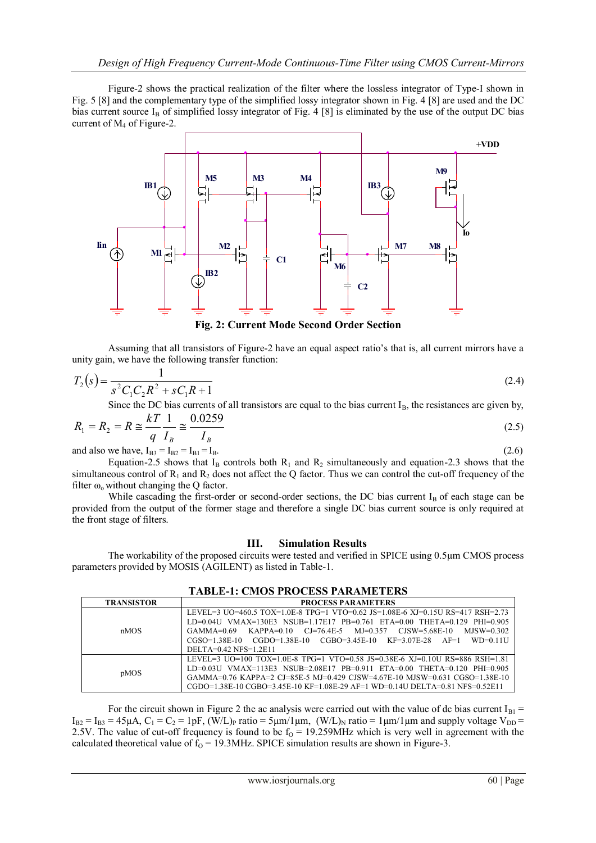Figure-2 shows the practical realization of the filter where the lossless integrator of Type-I shown in Fig. 5 [8] and the complementary type of the simplified lossy integrator shown in Fig. 4 [8] are used and the DC bias current source  $I_B$  of simplified lossy integrator of Fig. 4 [8] is eliminated by the use of the output DC bias current of M<sup>4</sup> of Figure-2.



**Fig. 2: Current Mode Second Order Section**

Assuming that all transistors of Figure-2 have an equal aspect ratio's that is, all current mirrors have a unity gain, we have the following transfer function:

$$
T_2(s) = \frac{1}{s^2 C_1 C_2 R^2 + s C_1 R + 1}
$$
\n(2.4)

Since the DC bias currents of all transistors are equal to the bias current  $I_B$ , the resistances are given by,

$$
R_1 = R_2 = R \approx \frac{kT}{q} \frac{1}{I_B} \approx \frac{0.0259}{I_B}
$$
 (2.5)

and also we have,  $I_{B3} = I_{B2} = I_{B1} = I_B$ . (2.6)

Equation-2.5 shows that  $I_B$  controls both  $R_1$  and  $R_2$  simultaneously and equation-2.3 shows that the simultaneous control of  $R_1$  and  $R_2$  does not affect the Q factor. Thus we can control the cut-off frequency of the filter  $\omega_0$  without changing the Q factor.

While cascading the first-order or second-order sections, the DC bias current  $I_B$  of each stage can be provided from the output of the former stage and therefore a single DC bias current source is only required at the front stage of filters.

## **III. Simulation Results**

The workability of the proposed circuits were tested and verified in SPICE using 0.5µm CMOS process parameters provided by MOSIS (AGILENT) as listed in Table-1.

| <b>TRANSISTOR</b> | <b>PROCESS PARAMETERS</b>                                                                                                                                                                                                                                                                                                                            |
|-------------------|------------------------------------------------------------------------------------------------------------------------------------------------------------------------------------------------------------------------------------------------------------------------------------------------------------------------------------------------------|
| nMOS              | LEVEL=3 UO=460.5 TOX=1.0E-8 TPG=1 VTO=0.62 JS=1.08E-6 XJ=0.15U RS=417 RSH=2.73<br>$LD=0.04U$ VMAX=130E3 NSUB=1.17E17 PB=0.761 ETA=0.00 THETA=0.129 PHI=0.905<br>KAPPA=0.10 CJ=76.4E-5 MJ=0.357<br>$CISW=5.68E-10$<br>$MJSW=0.302$<br>$GAMMA=0.69$<br>$CGSO=1.38E-10$ $CGDO=1.38E-10$ $CGBO=3.45E-10$ $KF=3.07E-28$ $AF=1$<br>$WD=0.11U$              |
| pMOS              | $DELTA=0.42$ NFS=1.2E11<br>LEVEL=3 UO=100 TOX=1.0E-8 TPG=1 VTO=0.58 JS=0.38E-6 XJ=0.10U RS=886 RSH=1.81<br>$LD=0.03U$ VMAX=113E3 NSUB=2.08E17 PB=0.911 ETA=0.00 THETA=0.120 PHI=0.905<br>GAMMA=0.76 KAPPA=2 CJ=85E-5 MJ=0.429 CJSW=4.67E-10 MJSW=0.631 CGSO=1.38E-10<br>CGDO=1.38E-10 CGBO=3.45E-10 KF=1.08E-29 AF=1 WD=0.14U DELTA=0.81 NFS=0.52E11 |

**TABLE-1: CMOS PROCESS PARAMETERS**

For the circuit shown in Figure 2 the ac analysis were carried out with the value of dc bias current  $I_{B1}$  =  $I_{B2} = I_{B3} = 45 \mu A$ ,  $C_1 = C_2 = 1pF$ ,  $(W/L)_P$  ratio = 5 $\mu$ m/1 $\mu$ m,  $(W/L)_N$  ratio = 1 $\mu$ m/1 $\mu$ m and supply voltage  $V_{DD}$ 2.5V. The value of cut-off frequency is found to be  $f_0 = 19.259 \text{MHz}$  which is very well in agreement with the calculated theoretical value of  $f_0 = 19.3 \text{MHz}$ . SPICE simulation results are shown in Figure-3.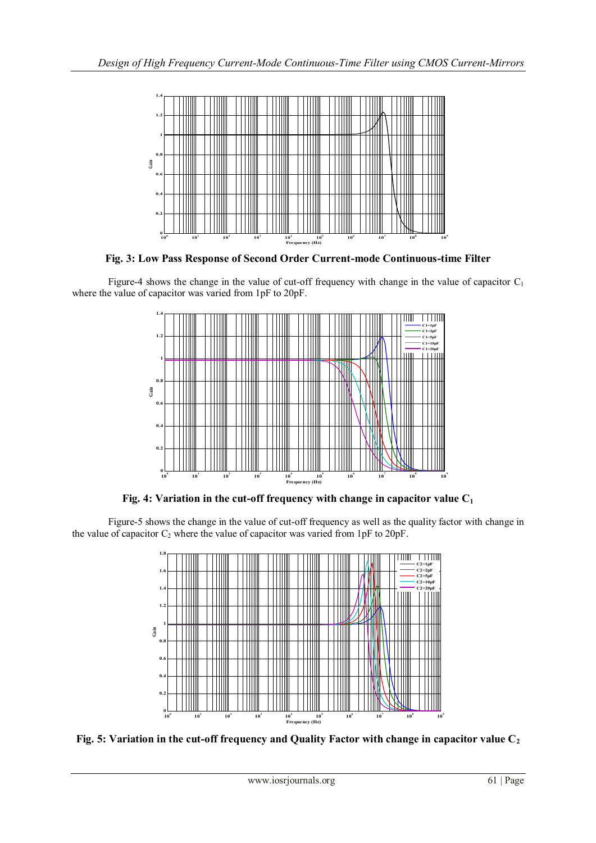

**Fig. 3: Low Pass Response of Second Order Current-mode Continuous-time Filter**

Figure-4 shows the change in the value of cut-off frequency with change in the value of capacitor  $C_1$ where the value of capacitor was varied from 1pF to 20pF.



**Fig. 4: Variation in the cut-off frequency with change in capacitor value C<sup>1</sup>**

Figure-5 shows the change in the value of cut-off frequency as well as the quality factor with change in the value of capacitor  $C_2$  where the value of capacitor was varied from 1pF to 20pF.



**Fig. 5: Variation in the cut-off frequency and Quality Factor with change in capacitor value C<sup>2</sup>**